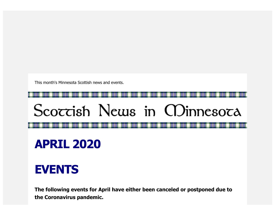This month's Minnesota Scottish news and events.

## Scoccish News in CDinnesoca

## **APRIL 2020**

## **EVENTS**

**The following events for April have either been canceled or postponed due to the Coronavirus pandemic.**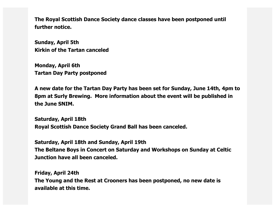**The Royal Scottish Dance Society dance classes have been postponed until further notice.** 

**Sunday, April 5th Kirkin of the Tartan canceled**

**Monday, April 6th Tartan Day Party postponed**

**A new date for the Tartan Day Party has been set for Sunday, June 14th, 4pm to 8pm at Surly Brewing. More information about the event will be published in the June SNIM.**

**Saturday, April 18th Royal Scottish Dance Society Grand Ball has been canceled.**

**Saturday, April 18th and Sunday, April 19th The Beltane Boys in Concert on Saturday and Workshops on Sunday at Celtic Junction have all been canceled.**

**Friday, April 24th The Young and the Rest at Crooners has been postponed, no new date is available at this time.**